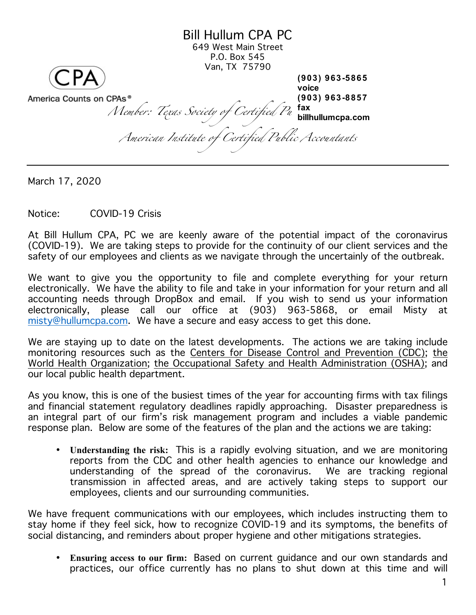Bill Hullum CPA PC 649 West Main Street P.O. Box 545 Van, TX 75790 *Member: Texas Society of Certified Pu* **tax**<br>Member: Tex*as Society of Certified Pu* billhullumcpa.com *American Institute of Certified Public Accountants* **(903) 963-5865 voice (903) 963-8857 fax billhullumcpa.com**

March 17, 2020

Notice: COVID-19 Crisis

At Bill Hullum CPA, PC we are keenly aware of the potential impact of the coronavirus (COVID-19). We are taking steps to provide for the continuity of our client services and the safety of our employees and clients as we navigate through the uncertainly of the outbreak.

We want to give you the opportunity to file and complete everything for your return electronically. We have the ability to file and take in your information for your return and all accounting needs through DropBox and email. If you wish to send us your information electronically, please call our office at (903) 963-5868, or email Misty at [misty@hullumcpa.com](mailto:misty@hullumcpa.com). We have a secure and easy access to get this done.

We are staying up to date on the latest developments. The actions we are taking include monitoring resources such as the Centers for Disease Control and Prevention (CDC); the World Health Organization; the Occupational Safety and Health Administration (OSHA); and our local public health department.

As you know, this is one of the busiest times of the year for accounting firms with tax filings and financial statement regulatory deadlines rapidly approaching. Disaster preparedness is an integral part of our firm's risk management program and includes a viable pandemic response plan. Below are some of the features of the plan and the actions we are taking:

• **Understanding the risk:** This is a rapidly evolving situation, and we are monitoring reports from the CDC and other health agencies to enhance our knowledge and understanding of the spread of the coronavirus. We are tracking regional transmission in affected areas, and are actively taking steps to support our employees, clients and our surrounding communities.

We have frequent communications with our employees, which includes instructing them to stay home if they feel sick, how to recognize COVID-19 and its symptoms, the benefits of social distancing, and reminders about proper hygiene and other mitigations strategies.

• **Ensuring access to our firm:** Based on current guidance and our own standards and practices, our office currently has no plans to shut down at this time and will